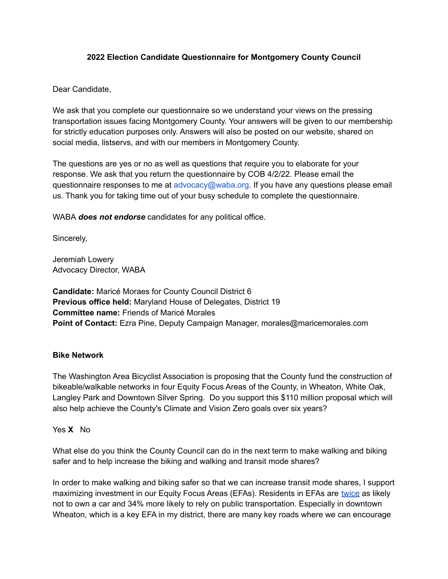### **2022 Election Candidate Questionnaire for Montgomery County Council**

Dear Candidate,

We ask that you complete our questionnaire so we understand your views on the pressing transportation issues facing Montgomery County. Your answers will be given to our membership for strictly education purposes only. Answers will also be posted on our website, shared on social media, listservs, and with our members in Montgomery County.

The questions are yes or no as well as questions that require you to elaborate for your response. We ask that you return the questionnaire by COB 4/2/22. Please email the questionnaire responses to me at advocacy@waba.org. If you have any questions please email us. Thank you for taking time out of your busy schedule to complete the questionnaire.

WABA *does not endorse* candidates for any political office.

Sincerely,

Jeremiah Lowery Advocacy Director, WABA

**Candidate:** Maricé Moraes for County Council District 6 **Previous office held:** Maryland House of Delegates, District 19 **Committee name:** Friends of Maricé Morales **Point of Contact:** Ezra Pine, Deputy Campaign Manager, morales@maricemorales.com

#### **Bike Network**

The Washington Area Bicyclist Association is proposing that the County fund the construction of bikeable/walkable networks in four Equity Focus Areas of the County, in Wheaton, White Oak, Langley Park and Downtown Silver Spring. Do you support this \$110 million proposal which will also help achieve the County's Climate and Vision Zero goals over six years?

#### Yes **X** No

What else do you think the County Council can do in the next term to make walking and biking safer and to help increase the biking and walking and transit mode shares?

In order to make walking and biking safer so that we can increase transit mode shares, I support maximizing investment in our Equity Focus Areas (EFAs). Residents in EFAs are [twice](https://waba.org/wp-content/uploads/2022/01/MoCo-Equitable-Bikeways-Proposal-WEB.pdf?org=1836&lvl=100&ite=2185&lea=4171586&ctr=0&par=1&trk=a105x00000DKfHHAA1) as likely not to own a car and 34% more likely to rely on public transportation. Especially in downtown Wheaton, which is a key EFA in my district, there are many key roads where we can encourage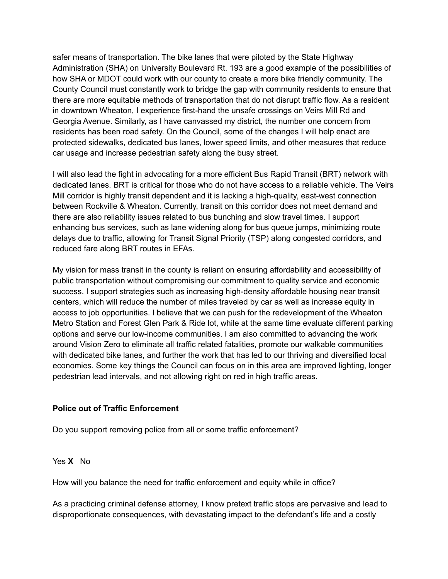safer means of transportation. The bike lanes that were piloted by the State Highway Administration (SHA) on University Boulevard Rt. 193 are a good example of the possibilities of how SHA or MDOT could work with our county to create a more bike friendly community. The County Council must constantly work to bridge the gap with community residents to ensure that there are more equitable methods of transportation that do not disrupt traffic flow. As a resident in downtown Wheaton, I experience first-hand the unsafe crossings on Veirs Mill Rd and Georgia Avenue. Similarly, as I have canvassed my district, the number one concern from residents has been road safety. On the Council, some of the changes I will help enact are protected sidewalks, dedicated bus lanes, lower speed limits, and other measures that reduce car usage and increase pedestrian safety along the busy street.

I will also lead the fight in advocating for a more efficient Bus Rapid Transit (BRT) network with dedicated lanes. BRT is critical for those who do not have access to a reliable vehicle. The Veirs Mill corridor is highly transit dependent and it is lacking a high-quality, east-west connection between Rockville & Wheaton. Currently, transit on this corridor does not meet demand and there are also reliability issues related to bus bunching and slow travel times. I support enhancing bus services, such as lane widening along for bus queue jumps, minimizing route delays due to traffic, allowing for Transit Signal Priority (TSP) along congested corridors, and reduced fare along BRT routes in EFAs.

My vision for mass transit in the county is reliant on ensuring affordability and accessibility of public transportation without compromising our commitment to quality service and economic success. I support strategies such as increasing high-density affordable housing near transit centers, which will reduce the number of miles traveled by car as well as increase equity in access to job opportunities. I believe that we can push for the redevelopment of the Wheaton Metro Station and Forest Glen Park & Ride lot, while at the same time evaluate different parking options and serve our low-income communities. I am also committed to advancing the work around Vision Zero to eliminate all traffic related fatalities, promote our walkable communities with dedicated bike lanes, and further the work that has led to our thriving and diversified local economies. Some key things the Council can focus on in this area are improved lighting, longer pedestrian lead intervals, and not allowing right on red in high traffic areas.

#### **Police out of Traffic Enforcement**

Do you support removing police from all or some traffic enforcement?

Yes **X** No

How will you balance the need for traffic enforcement and equity while in office?

As a practicing criminal defense attorney, I know pretext traffic stops are pervasive and lead to disproportionate consequences, with devastating impact to the defendant's life and a costly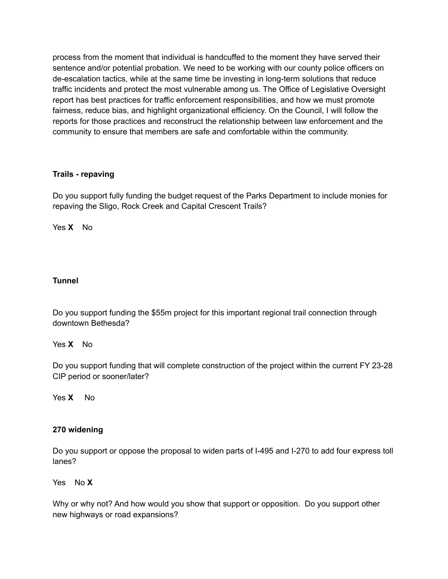process from the moment that individual is handcuffed to the moment they have served their sentence and/or potential probation. We need to be working with our county police officers on de-escalation tactics, while at the same time be investing in long-term solutions that reduce traffic incidents and protect the most vulnerable among us. The Office of Legislative Oversight report has best practices for traffic enforcement responsibilities, and how we must promote fairness, reduce bias, and highlight organizational efficiency. On the Council, I will follow the reports for those practices and reconstruct the relationship between law enforcement and the community to ensure that members are safe and comfortable within the community.

## **Trails - repaving**

Do you support fully funding the budget request of the Parks Department to include monies for repaving the Sligo, Rock Creek and Capital Crescent Trails?

Yes **X** No

## **Tunnel**

Do you support funding the \$55m project for this important regional trail connection through downtown Bethesda?

## Yes **X** No

Do you support funding that will complete construction of the project within the current FY 23-28 CIP period or sooner/later?

Yes X No

## **270 widening**

Do you support or oppose the proposal to widen parts of I-495 and I-270 to add four express toll lanes?

Yes No **X**

Why or why not? And how would you show that support or opposition. Do you support other new highways or road expansions?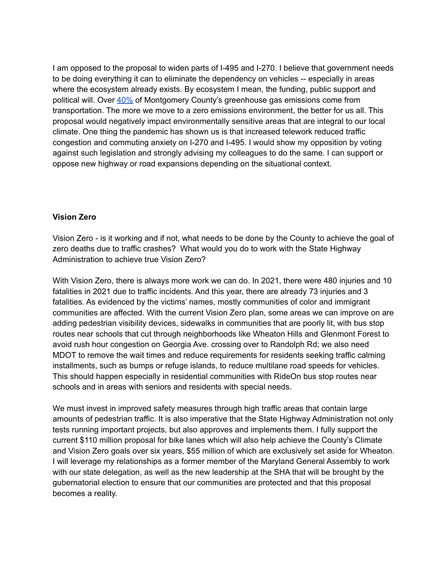I am opposed to the proposal to widen parts of I-495 and I-270. I believe that government needs to be doing everything it can to eliminate the dependency on vehicles -- especially in areas where the ecosystem already exists. By ecosystem I mean, the funding, public support and political will. Over [40%](https://www.montgomerycountymd.gov/green/climate/ghg-inventory.html) of Montgomery County's greenhouse gas emissions come from transportation. The more we move to a zero emissions environment, the better for us all. This proposal would negatively impact environmentally sensitive areas that are integral to our local climate. One thing the pandemic has shown us is that increased telework reduced traffic congestion and commuting anxiety on I-270 and I-495. I would show my opposition by voting against such legislation and strongly advising my colleagues to do the same. I can support or oppose new highway or road expansions depending on the situational context.

#### **Vision Zero**

Vision Zero - is it working and if not, what needs to be done by the County to achieve the goal of zero deaths due to traffic crashes? What would you do to work with the State Highway Administration to achieve true Vision Zero?

With Vision Zero, there is always more work we can do. In 2021, there were 480 injuries and 10 fatalities in 2021 due to traffic incidents. And this year, there are already 73 injuries and 3 fatalities. As evidenced by the victims' names, mostly communities of color and immigrant communities are affected. With the current Vision Zero plan, some areas we can improve on are adding pedestrian visibility devices, sidewalks in communities that are poorly lit, with bus stop routes near schools that cut through neighborhoods like Wheaton Hills and Glenmont Forest to avoid rush hour congestion on Georgia Ave. crossing over to Randolph Rd; we also need MDOT to remove the wait times and reduce requirements for residents seeking traffic calming installments, such as bumps or refuge islands, to reduce multilane road speeds for vehicles. This should happen especially in residential communities with RideOn bus stop routes near schools and in areas with seniors and residents with special needs.

We must invest in improved safety measures through high traffic areas that contain large amounts of pedestrian traffic. It is also imperative that the State Highway Administration not only tests running important projects, but also approves and implements them. I fully support the current \$110 million proposal for bike lanes which will also help achieve the County's Climate and Vision Zero goals over six years, \$55 million of which are exclusively set aside for Wheaton. I will leverage my relationships as a former member of the Maryland General Assembly to work with our state delegation, as well as the new leadership at the SHA that will be brought by the gubernatorial election to ensure that our communities are protected and that this proposal becomes a reality.